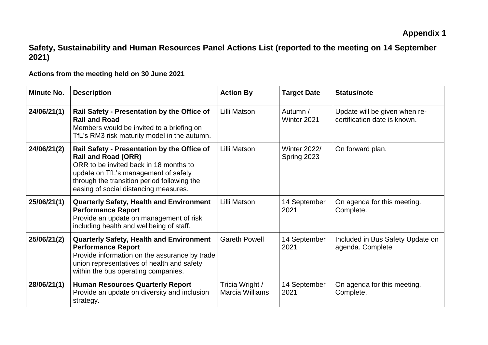## **Safety, Sustainability and Human Resources Panel Actions List (reported to the meeting on 14 September 2021)**

**Actions from the meeting held on 30 June 2021**

| <b>Minute No.</b> | <b>Description</b>                                                                                                                                                                                                                                  | <b>Action By</b>                          | <b>Target Date</b>                 | <b>Status/note</b>                                            |
|-------------------|-----------------------------------------------------------------------------------------------------------------------------------------------------------------------------------------------------------------------------------------------------|-------------------------------------------|------------------------------------|---------------------------------------------------------------|
| 24/06/21(1)       | Rail Safety - Presentation by the Office of<br><b>Rail and Road</b><br>Members would be invited to a briefing on<br>TfL's RM3 risk maturity model in the autumn.                                                                                    | Lilli Matson                              | Autumn /<br>Winter 2021            | Update will be given when re-<br>certification date is known. |
| 24/06/21(2)       | Rail Safety - Presentation by the Office of<br><b>Rail and Road (ORR)</b><br>ORR to be invited back in 18 months to<br>update on TfL's management of safety<br>through the transition period following the<br>easing of social distancing measures. | Lilli Matson                              | <b>Winter 2022/</b><br>Spring 2023 | On forward plan.                                              |
| 25/06/21(1)       | <b>Quarterly Safety, Health and Environment</b><br><b>Performance Report</b><br>Provide an update on management of risk<br>including health and wellbeing of staff.                                                                                 | Lilli Matson                              | 14 September<br>2021               | On agenda for this meeting.<br>Complete.                      |
| 25/06/21(2)       | <b>Quarterly Safety, Health and Environment</b><br><b>Performance Report</b><br>Provide information on the assurance by trade<br>union representatives of health and safety<br>within the bus operating companies.                                  | <b>Gareth Powell</b>                      | 14 September<br>2021               | Included in Bus Safety Update on<br>agenda. Complete          |
| 28/06/21(1)       | <b>Human Resources Quarterly Report</b><br>Provide an update on diversity and inclusion<br>strategy.                                                                                                                                                | Tricia Wright /<br><b>Marcia Williams</b> | 14 September<br>2021               | On agenda for this meeting.<br>Complete.                      |